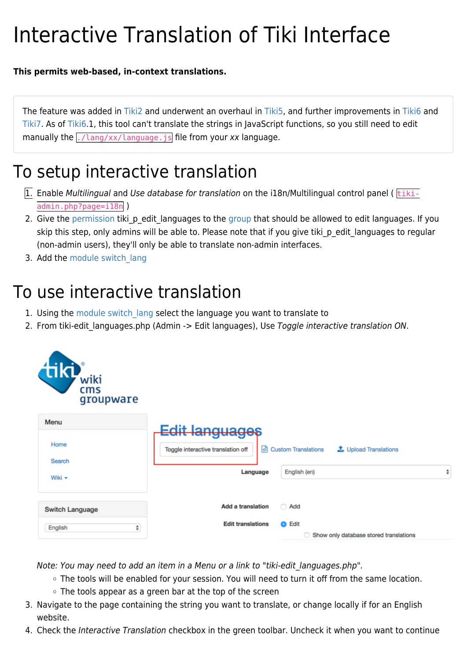# Interactive Translation of Tiki Interface

#### **This permits web-based, in-context translations.**

The feature was added in [Tiki2](https://doc.tiki.org/Tiki2) and underwent an overhaul in [Tiki5,](https://doc.tiki.org/Tiki5) and further improvements in [Tiki6](https://doc.tiki.org/Tiki6) and [Tiki7](https://doc.tiki.org/Tiki7). As of [Tiki6](https://doc.tiki.org/Tiki6).1, this tool can't translate the strings in JavaScript functions, so you still need to edit manually the  $\sqrt{\tan(1-x)/\tan(1-x)}$  file from your xx language.

## To setup interactive translation

- $\overline{1}$ . Enable Multilingual and Use database for translation on the i18n/Multilingual control panel ( $\overline{t}$ ikiadmin.php?page=i18n )
- 2. Give the [permission](https://doc.tiki.org/permission) tiki p edit languages to the [group](https://doc.tiki.org/group) that should be allowed to edit languages. If you skip this step, only admins will be able to. Please note that if you give tiki p edit languages to regular (non-admin users), they'll only be able to translate non-admin interfaces.
- 3. Add the module switch lang

### To use interactive translation

- 1. Using the module switch lang select the language you want to translate to
- 2. From tiki-edit languages.php (Admin -> Edit languages), Use Toggle interactive translation ON.

| <b>tiki</b><br>wiki<br>cms<br>groupware |                                          |                                                            |
|-----------------------------------------|------------------------------------------|------------------------------------------------------------|
| Menu                                    | Edit languages                           |                                                            |
| Home                                    | Toggle interactive translation off<br>l해 | <b>Custom Translations</b><br><b>1</b> Upload Translations |
| Search                                  |                                          |                                                            |
| Wiki <del>v</del>                       | Language                                 | ÷<br>English (en)                                          |
|                                         |                                          |                                                            |
| Switch Language                         | Add a translation                        | ◯ Add                                                      |
| English<br>÷                            | <b>Edit translations</b>                 | <b>O</b> Edit                                              |
|                                         |                                          | Show only database stored translations                     |

Note: You may need to add an item in a Menu or a link to "tiki-edit\_languages.php".

- The tools will be enabled for your session. You will need to turn it off from the same location.
- The tools appear as a green bar at the top of the screen
- 3. Navigate to the page containing the string you want to translate, or change locally if for an English website.
- 4. Check the Interactive Translation checkbox in the green toolbar. Uncheck it when you want to continue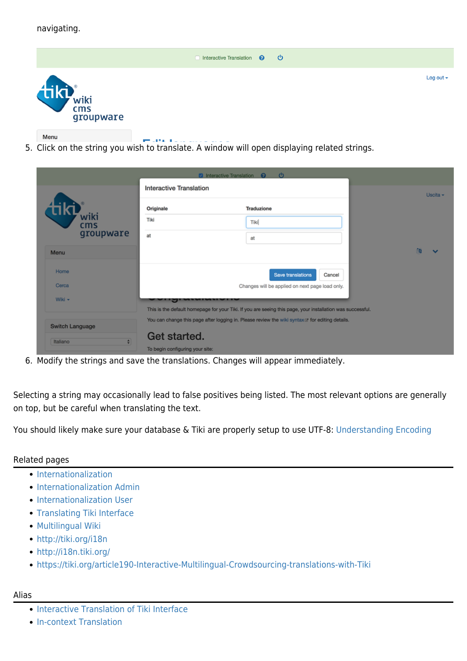

5. Click on the string you wish to translate. A window will open displaying related strings.

|                        | <b>2</b> Interactive Translation                                                                           | ු ල<br>െ          |                |
|------------------------|------------------------------------------------------------------------------------------------------------|-------------------|----------------|
|                        | <b>Interactive Translation</b>                                                                             |                   | Uscita $\star$ |
|                        | Originale                                                                                                  | <b>Traduzione</b> |                |
| wiki<br>cms            | Tiki                                                                                                       | Tiki              |                |
| groupware              | at                                                                                                         | at                |                |
| Menu                   |                                                                                                            |                   |                |
| Home                   | <b>Save translations</b><br>Cancel                                                                         |                   |                |
| Cerca                  | Changes will be applied on next page load only.                                                            |                   |                |
| Wiki -                 | <b>I INTERNATIONAL</b>                                                                                     |                   |                |
|                        | This is the default homepage for your Tiki. If you are seeing this page, your installation was successful. |                   |                |
| <b>Switch Language</b> | You can change this page after logging in. Please review the wiki syntaxe for editing details.             |                   |                |
| ÷<br>Italiano          | Get started.                                                                                               |                   |                |
|                        | To begin configuring your site:                                                                            |                   |                |

6. Modify the strings and save the translations. Changes will appear immediately.

Selecting a string may occasionally lead to false positives being listed. The most relevant options are generally on top, but be careful when translating the text.

You should likely make sure your database & Tiki are properly setup to use UTF-8: [Understanding Encoding](https://doc.tiki.org/Understanding-Encoding)

### Related pages

- [Internationalization](https://doc.tiki.org/i18n)
- **[Internationalization Admin](https://doc.tiki.org/i18n-Admin)**
- [Internationalization User](https://doc.tiki.org/Interface-translation-(old))
- [Translating Tiki Interface](https://doc.tiki.org/Translating%20Tiki%20Interface)
- [Multilingual Wiki](https://doc.tiki.org/Multilingual-Wiki)
- <http://tiki.org/i18n>
- <http://i18n.tiki.org/>
- <https://tiki.org/article190-Interactive-Multilingual-Crowdsourcing-translations-with-Tiki>

#### Alias

- [Interactive Translation of Tiki Interface](https://doc.tiki.org/Interactive-Translation-of-Tiki-Interface)
- [In-context Translation](https://doc.tiki.org/In-context-Translation)